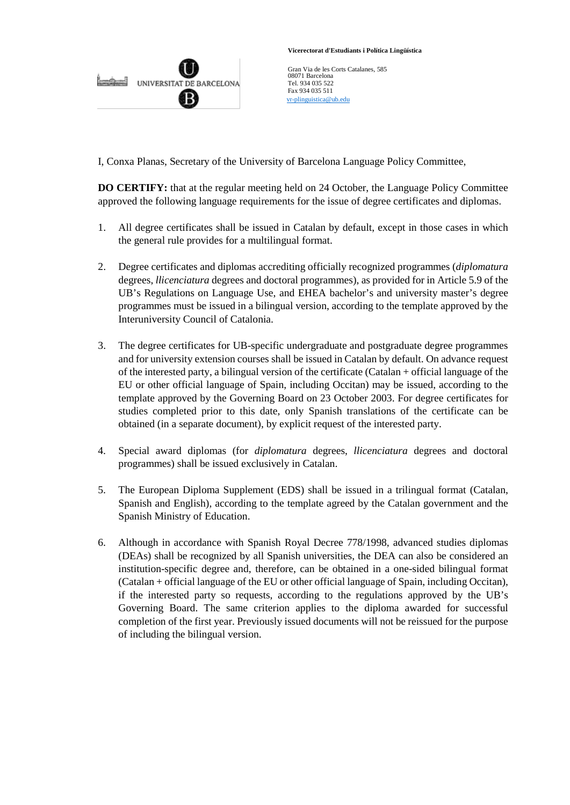

 **Vicerectorat d'Estudiants i Política Lingüística**

Gran Via de les Corts Catalanes, 585 08071 Barcelona Tel. 934 035 522 Fax 934 035 511  [vr-plinguistica@ub.edu](mailto:vr-plinguistica@ub.edu)

I, Conxa Planas, Secretary of the University of Barcelona Language Policy Committee,

**DO CERTIFY:** that at the regular meeting held on 24 October, the Language Policy Committee approved the following language requirements for the issue of degree certificates and diplomas.

- 1. All degree certificates shall be issued in Catalan by default, except in those cases in which the general rule provides for a multilingual format.
- 2. Degree certificates and diplomas accrediting officially recognized programmes (*diplomatura* degrees, *llicenciatura* degrees and doctoral programmes), as provided for in Article 5.9 of the UB's Regulations on Language Use, and EHEA bachelor's and university master's degree programmes must be issued in a bilingual version, according to the template approved by the Interuniversity Council of Catalonia.
- 3. The degree certificates for UB-specific undergraduate and postgraduate degree programmes and for university extension courses shall be issued in Catalan by default. On advance request of the interested party, a bilingual version of the certificate (Catalan + official language of the EU or other official language of Spain, including Occitan) may be issued, according to the template approved by the Governing Board on 23 October 2003. For degree certificates for studies completed prior to this date, only Spanish translations of the certificate can be obtained (in a separate document), by explicit request of the interested party.
- 4. Special award diplomas (for *diplomatura* degrees, *llicenciatura* degrees and doctoral programmes) shall be issued exclusively in Catalan.
- 5. The European Diploma Supplement (EDS) shall be issued in a trilingual format (Catalan, Spanish and English), according to the template agreed by the Catalan government and the Spanish Ministry of Education.
- 6. Although in accordance with Spanish Royal Decree 778/1998, advanced studies diplomas (DEAs) shall be recognized by all Spanish universities, the DEA can also be considered an institution-specific degree and, therefore, can be obtained in a one-sided bilingual format (Catalan + official language of the EU or other official language of Spain, including Occitan), if the interested party so requests, according to the regulations approved by the UB's Governing Board. The same criterion applies to the diploma awarded for successful completion of the first year. Previously issued documents will not be reissued for the purpose of including the bilingual version.